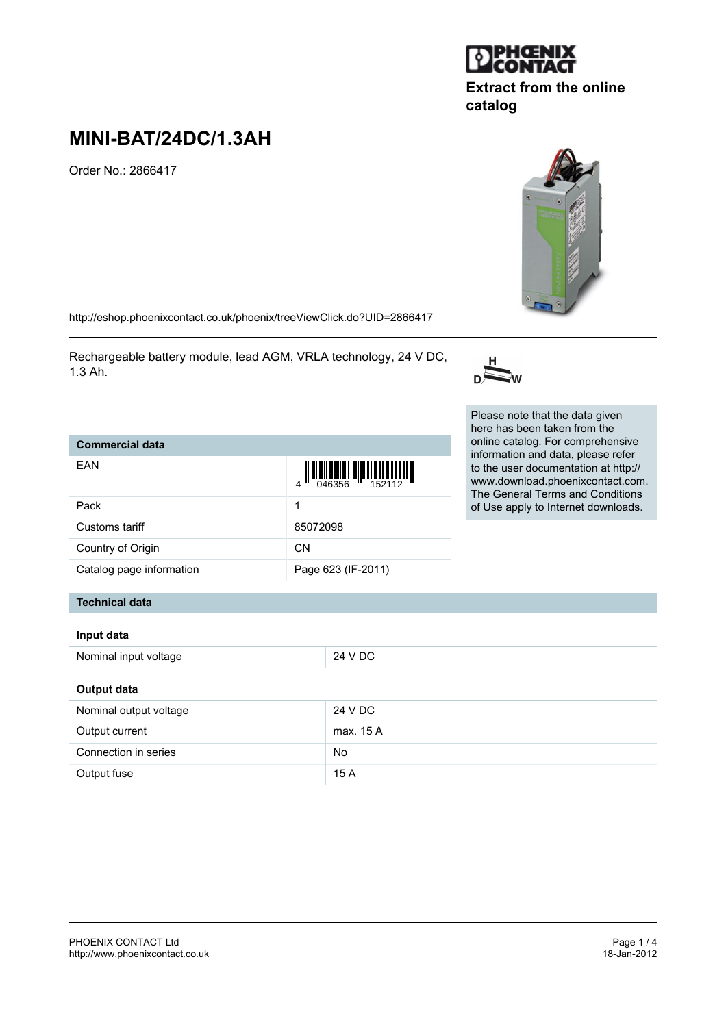Output fuse 15 A

# **MINI-BAT/24DC/1.3AH**

Order No.: 2866417

<http://eshop.phoenixcontact.co.uk/phoenix/treeViewClick.do?UID=2866417>

Rechargeable battery module, lead AGM, VRLA technology, 24 V DC, 1.3 Ah.

## Catalog page information

**Commercial data**

EAN

#### **Technical data**

#### **Input data**

| Nominal input voltage  | 24 V DC   |  |
|------------------------|-----------|--|
| Output data            |           |  |
| Nominal output voltage | 24 V DC   |  |
| Output current         | max. 15 A |  |
| Connection in series   | No        |  |





**catalog**



| oommore.com              |                                                                                                   |  |
|--------------------------|---------------------------------------------------------------------------------------------------|--|
| EAN                      | $\left\  \prod_{046356} \right\  \left\  \prod_{152112} \right\  \left\  \prod_{162112} \right\ $ |  |
| Pack                     | 1                                                                                                 |  |
| Customs tariff           | 85072098                                                                                          |  |
| Country of Origin        | <b>CN</b>                                                                                         |  |
| Catalog page information | Page 623 (IF-2011)                                                                                |  |
|                          |                                                                                                   |  |

Please note that the data given here has been taken from the online catalog. For comprehensive information and data, please refer to the user documentation at http:// www.download.phoenixcontact.com. The General Terms and Conditions of Use apply to Internet downloads.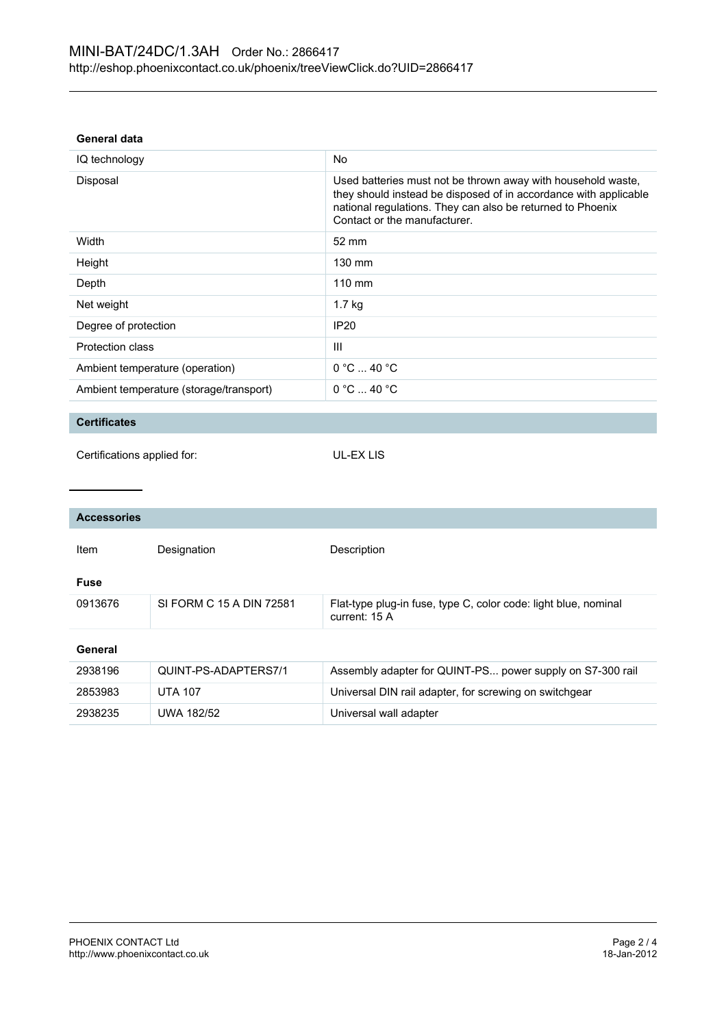#### **General data**

| IQ technology                           | No                                                                                                                                                                                                                             |
|-----------------------------------------|--------------------------------------------------------------------------------------------------------------------------------------------------------------------------------------------------------------------------------|
| Disposal                                | Used batteries must not be thrown away with household waste,<br>they should instead be disposed of in accordance with applicable<br>national regulations. They can also be returned to Phoenix<br>Contact or the manufacturer. |
| Width                                   | $52 \text{ mm}$                                                                                                                                                                                                                |
| Height                                  | $130 \text{ mm}$                                                                                                                                                                                                               |
| Depth                                   | $110 \text{ mm}$                                                                                                                                                                                                               |
| Net weight                              | $1.7$ kg                                                                                                                                                                                                                       |
| Degree of protection                    | <b>IP20</b>                                                                                                                                                                                                                    |
| Protection class                        | Ш                                                                                                                                                                                                                              |
| Ambient temperature (operation)         | $0^{\circ}$ C $-$ 40 $^{\circ}$ C                                                                                                                                                                                              |
| Ambient temperature (storage/transport) | $0^{\circ}$ C $\dots$ 40 $^{\circ}$ C                                                                                                                                                                                          |

### **Certificates**

UL-EX LIS

| <b>Accessories</b> |                          |                                                                                  |  |
|--------------------|--------------------------|----------------------------------------------------------------------------------|--|
| Item               | Designation              | Description                                                                      |  |
| <b>Fuse</b>        |                          |                                                                                  |  |
| 0913676            | SI FORM C 15 A DIN 72581 | Flat-type plug-in fuse, type C, color code: light blue, nominal<br>current: 15 A |  |
| General            |                          |                                                                                  |  |
| 2938196            | QUINT-PS-ADAPTERS7/1     | Assembly adapter for QUINT-PS power supply on S7-300 rail                        |  |
| 2853983            | <b>UTA 107</b>           | Universal DIN rail adapter, for screwing on switchgear                           |  |
| 2938235            | <b>UWA 182/52</b>        | Universal wall adapter                                                           |  |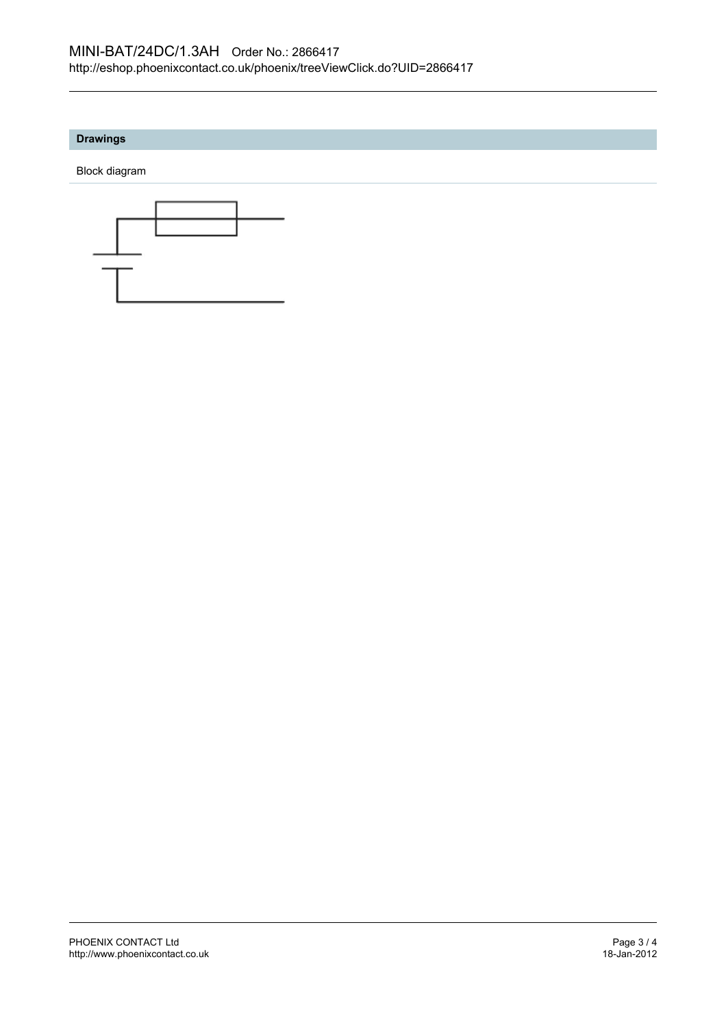#### **Drawings**

Block diagram